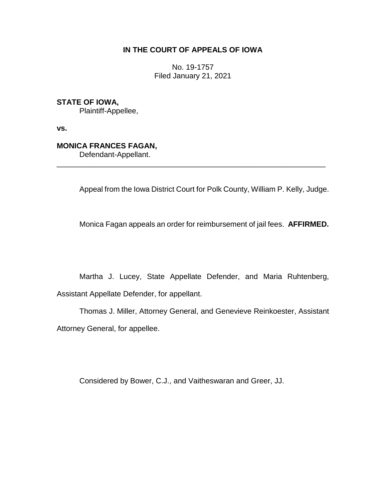## **IN THE COURT OF APPEALS OF IOWA**

No. 19-1757 Filed January 21, 2021

**STATE OF IOWA,**

Plaintiff-Appellee,

**vs.**

# **MONICA FRANCES FAGAN,**

Defendant-Appellant.

Appeal from the Iowa District Court for Polk County, William P. Kelly, Judge.

\_\_\_\_\_\_\_\_\_\_\_\_\_\_\_\_\_\_\_\_\_\_\_\_\_\_\_\_\_\_\_\_\_\_\_\_\_\_\_\_\_\_\_\_\_\_\_\_\_\_\_\_\_\_\_\_\_\_\_\_\_\_\_\_

Monica Fagan appeals an order for reimbursement of jail fees. **AFFIRMED.**

Martha J. Lucey, State Appellate Defender, and Maria Ruhtenberg, Assistant Appellate Defender, for appellant.

Thomas J. Miller, Attorney General, and Genevieve Reinkoester, Assistant Attorney General, for appellee.

Considered by Bower, C.J., and Vaitheswaran and Greer, JJ.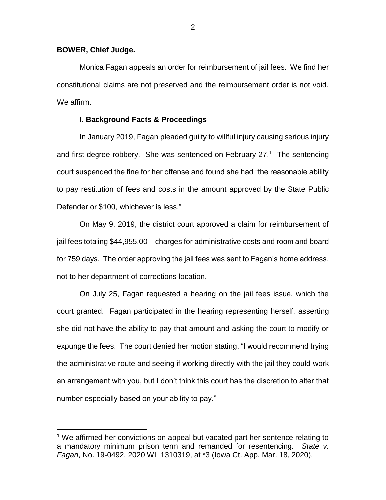### **BOWER, Chief Judge.**

 $\overline{a}$ 

Monica Fagan appeals an order for reimbursement of jail fees. We find her constitutional claims are not preserved and the reimbursement order is not void. We affirm.

## **I. Background Facts & Proceedings**

In January 2019, Fagan pleaded guilty to willful injury causing serious injury and first-degree robbery. She was sentenced on February  $27<sup>1</sup>$  The sentencing court suspended the fine for her offense and found she had "the reasonable ability to pay restitution of fees and costs in the amount approved by the State Public Defender or \$100, whichever is less."

On May 9, 2019, the district court approved a claim for reimbursement of jail fees totaling \$44,955.00—charges for administrative costs and room and board for 759 days. The order approving the jail fees was sent to Fagan's home address, not to her department of corrections location.

On July 25, Fagan requested a hearing on the jail fees issue, which the court granted. Fagan participated in the hearing representing herself, asserting she did not have the ability to pay that amount and asking the court to modify or expunge the fees. The court denied her motion stating, "I would recommend trying the administrative route and seeing if working directly with the jail they could work an arrangement with you, but I don't think this court has the discretion to alter that number especially based on your ability to pay."

<sup>&</sup>lt;sup>1</sup> We affirmed her convictions on appeal but vacated part her sentence relating to a mandatory minimum prison term and remanded for resentencing. *State v. Fagan*, No. 19-0492, 2020 WL 1310319, at \*3 (Iowa Ct. App. Mar. 18, 2020).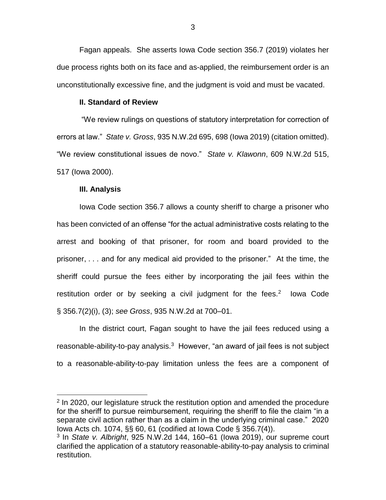Fagan appeals. She asserts Iowa Code section 356.7 (2019) violates her due process rights both on its face and as-applied, the reimbursement order is an unconstitutionally excessive fine, and the judgment is void and must be vacated.

#### **II. Standard of Review**

"We review rulings on questions of statutory interpretation for correction of errors at law." *State v. Gross*, 935 N.W.2d 695, 698 (Iowa 2019) (citation omitted). "We review constitutional issues de novo." *State v. Klawonn*, 609 N.W.2d 515, 517 (Iowa 2000).

#### **III. Analysis**

 $\overline{a}$ 

Iowa Code section 356.7 allows a county sheriff to charge a prisoner who has been convicted of an offense "for the actual administrative costs relating to the arrest and booking of that prisoner, for room and board provided to the prisoner, . . . and for any medical aid provided to the prisoner." At the time, the sheriff could pursue the fees either by incorporating the jail fees within the restitution order or by seeking a civil judgment for the fees. $2$  lowa Code § 356.7(2)(i), (3); *see Gross*, 935 N.W.2d at 700–01.

In the district court, Fagan sought to have the jail fees reduced using a reasonable-ability-to-pay analysis.<sup>3</sup> However, "an award of jail fees is not subject to a reasonable-ability-to-pay limitation unless the fees are a component of

<sup>&</sup>lt;sup>2</sup> In 2020, our legislature struck the restitution option and amended the procedure for the sheriff to pursue reimbursement, requiring the sheriff to file the claim "in a separate civil action rather than as a claim in the underlying criminal case." 2020 Iowa Acts ch. 1074, §§ 60, 61 (codified at Iowa Code § 356.7(4)).

<sup>3</sup> In *State v. Albright*, 925 N.W.2d 144, 160–61 (Iowa 2019), our supreme court clarified the application of a statutory reasonable-ability-to-pay analysis to criminal restitution.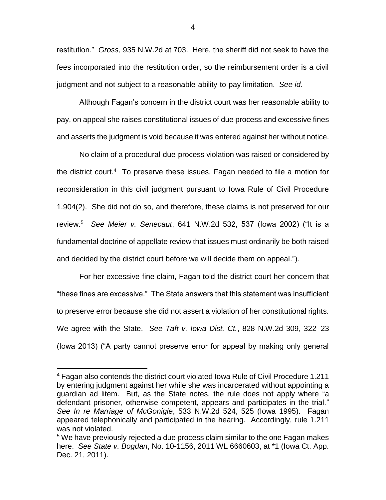restitution." *Gross*, 935 N.W.2d at 703. Here, the sheriff did not seek to have the fees incorporated into the restitution order, so the reimbursement order is a civil judgment and not subject to a reasonable-ability-to-pay limitation. *See id.*

Although Fagan's concern in the district court was her reasonable ability to pay, on appeal she raises constitutional issues of due process and excessive fines and asserts the judgment is void because it was entered against her without notice.

No claim of a procedural-due-process violation was raised or considered by the district court.<sup>4</sup> To preserve these issues, Fagan needed to file a motion for reconsideration in this civil judgment pursuant to Iowa Rule of Civil Procedure 1.904(2). She did not do so, and therefore, these claims is not preserved for our review.<sup>5</sup> *See Meier v. Senecaut*, 641 N.W.2d 532, 537 (Iowa 2002) ("It is a fundamental doctrine of appellate review that issues must ordinarily be both raised and decided by the district court before we will decide them on appeal.").

For her excessive-fine claim, Fagan told the district court her concern that "these fines are excessive." The State answers that this statement was insufficient to preserve error because she did not assert a violation of her constitutional rights. We agree with the State. *See Taft v. Iowa Dist. Ct.*, 828 N.W.2d 309, 322–23 (Iowa 2013) ("A party cannot preserve error for appeal by making only general

 $\overline{a}$ 

4

<sup>4</sup> Fagan also contends the district court violated Iowa Rule of Civil Procedure 1.211 by entering judgment against her while she was incarcerated without appointing a guardian ad litem. But, as the State notes, the rule does not apply where "a defendant prisoner, otherwise competent, appears and participates in the trial." *See In re Marriage of McGonigle*, 533 N.W.2d 524, 525 (Iowa 1995). Fagan appeared telephonically and participated in the hearing. Accordingly, rule 1.211 was not violated.

<sup>&</sup>lt;sup>5</sup> We have previously rejected a due process claim similar to the one Fagan makes here. *See State v. Bogdan*, No. 10-1156, 2011 WL 6660603, at \*1 (Iowa Ct. App. Dec. 21, 2011).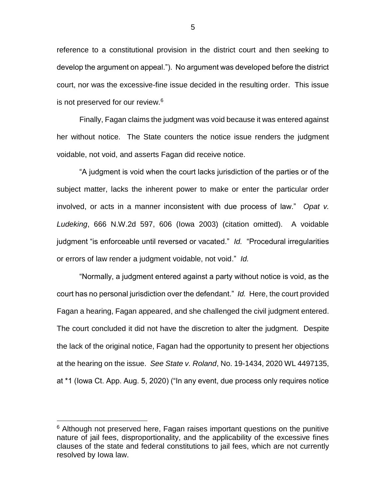reference to a constitutional provision in the district court and then seeking to develop the argument on appeal."). No argument was developed before the district court, nor was the excessive-fine issue decided in the resulting order. This issue is not preserved for our review.<sup>6</sup>

Finally, Fagan claims the judgment was void because it was entered against her without notice. The State counters the notice issue renders the judgment voidable, not void, and asserts Fagan did receive notice.

"A judgment is void when the court lacks jurisdiction of the parties or of the subject matter, lacks the inherent power to make or enter the particular order involved, or acts in a manner inconsistent with due process of law." *Opat v. Ludeking*, 666 N.W.2d 597, 606 (Iowa 2003) (citation omitted). A voidable judgment "is enforceable until reversed or vacated." *Id.* "Procedural irregularities or errors of law render a judgment voidable, not void." *Id.* 

"Normally, a judgment entered against a party without notice is void, as the court has no personal jurisdiction over the defendant." *Id.* Here, the court provided Fagan a hearing, Fagan appeared, and she challenged the civil judgment entered. The court concluded it did not have the discretion to alter the judgment. Despite the lack of the original notice, Fagan had the opportunity to present her objections at the hearing on the issue. *See State v. Roland*, No. 19-1434, 2020 WL 4497135, at \*1 (Iowa Ct. App. Aug. 5, 2020) ("In any event, due process only requires notice

 $\overline{a}$ 

 $6$  Although not preserved here, Fagan raises important questions on the punitive nature of jail fees, disproportionality, and the applicability of the excessive fines clauses of the state and federal constitutions to jail fees, which are not currently resolved by Iowa law.